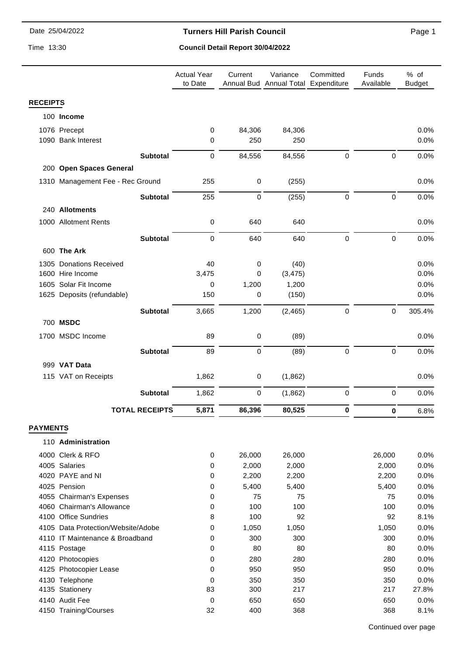#### **Turners Hill Parish Council**

Time 13:30

### **Council Detail Report 30/04/2022**

|                 |                                    |                       | <b>Actual Year</b><br>to Date | Current        | Variance<br>Annual Bud Annual Total Expenditure | Committed        | Funds<br>Available  | % of<br><b>Budget</b> |
|-----------------|------------------------------------|-----------------------|-------------------------------|----------------|-------------------------------------------------|------------------|---------------------|-----------------------|
| <b>RECEIPTS</b> |                                    |                       |                               |                |                                                 |                  |                     |                       |
|                 | 100 Income                         |                       |                               |                |                                                 |                  |                     |                       |
|                 | 1076 Precept                       |                       | $\mathbf 0$                   | 84,306         | 84,306                                          |                  |                     | 0.0%                  |
|                 | 1090 Bank Interest                 |                       | 0                             | 250            | 250                                             |                  |                     | 0.0%                  |
|                 |                                    | <b>Subtotal</b>       | $\mathbf 0$                   | 84,556         | 84,556                                          | $\mathbf 0$      | $\pmb{0}$           | 0.0%                  |
|                 | 200 Open Spaces General            |                       |                               |                |                                                 |                  |                     |                       |
|                 | 1310 Management Fee - Rec Ground   |                       | 255                           | $\pmb{0}$      | (255)                                           |                  |                     | 0.0%                  |
|                 |                                    |                       |                               |                |                                                 |                  |                     |                       |
|                 |                                    | <b>Subtotal</b>       | 255                           | 0              | (255)                                           | $\boldsymbol{0}$ | $\mathsf{O}\xspace$ | 0.0%                  |
|                 | 240 Allotments                     |                       |                               |                |                                                 |                  |                     |                       |
|                 | 1000 Allotment Rents               |                       | $\mathbf 0$                   | 640            | 640                                             |                  |                     | 0.0%                  |
|                 |                                    | <b>Subtotal</b>       | $\mathbf 0$                   | 640            | 640                                             | $\pmb{0}$        | $\pmb{0}$           | 0.0%                  |
|                 | 600 The Ark                        |                       |                               |                |                                                 |                  |                     |                       |
|                 | 1305 Donations Received            |                       | 40                            | 0              | (40)                                            |                  |                     | 0.0%                  |
|                 | 1600 Hire Income                   |                       | 3,475                         | 0              | (3, 475)                                        |                  |                     | 0.0%                  |
|                 | 1605 Solar Fit Income              |                       | 0                             | 1,200          | 1,200                                           |                  |                     | 0.0%                  |
|                 | 1625 Deposits (refundable)         |                       | 150                           | 0              | (150)                                           |                  |                     | 0.0%                  |
|                 |                                    | <b>Subtotal</b>       | 3,665                         | 1,200          | (2, 465)                                        | $\pmb{0}$        | $\mathsf{O}\xspace$ | 305.4%                |
|                 | 700 MSDC                           |                       |                               |                |                                                 |                  |                     |                       |
|                 | 1700 MSDC Income                   |                       | 89                            | $\pmb{0}$      | (89)                                            |                  |                     | 0.0%                  |
|                 |                                    | <b>Subtotal</b>       | 89                            | 0              | (89)                                            | $\pmb{0}$        | $\pmb{0}$           | 0.0%                  |
|                 | 999 VAT Data                       |                       |                               |                |                                                 |                  |                     |                       |
|                 | 115 VAT on Receipts                |                       | 1,862                         | 0              | (1,862)                                         |                  |                     | 0.0%                  |
|                 |                                    | <b>Subtotal</b>       | 1,862                         | 0              | (1,862)                                         | $\pmb{0}$        | $\pmb{0}$           | 0.0%                  |
|                 |                                    | <b>TOTAL RECEIPTS</b> | 5,871                         | 86,396         | 80,525                                          | $\pmb{0}$        | 0                   | 6.8%                  |
| <b>PAYMENTS</b> |                                    |                       |                               |                |                                                 |                  |                     |                       |
|                 |                                    |                       |                               |                |                                                 |                  |                     |                       |
|                 | 110 Administration                 |                       |                               |                |                                                 |                  |                     |                       |
|                 | 4000 Clerk & RFO                   |                       | 0                             | 26,000         | 26,000                                          |                  | 26,000              | 0.0%                  |
|                 | 4005 Salaries<br>4020 PAYE and NI  |                       | $\mathbf 0$<br>0              | 2,000          | 2,000                                           |                  | 2,000               | 0.0%                  |
|                 | 4025 Pension                       |                       | 0                             | 2,200<br>5,400 | 2,200<br>5,400                                  |                  | 2,200<br>5,400      | 0.0%<br>0.0%          |
|                 | 4055 Chairman's Expenses           |                       | 0                             | 75             | 75                                              |                  | 75                  | 0.0%                  |
|                 | 4060 Chairman's Allowance          |                       | 0                             | 100            | 100                                             |                  | 100                 | 0.0%                  |
|                 | 4100 Office Sundries               |                       | 8                             | 100            | 92                                              |                  | 92                  | 8.1%                  |
|                 | 4105 Data Protection/Website/Adobe |                       | 0                             | 1,050          | 1,050                                           |                  | 1,050               | 0.0%                  |
|                 | 4110 IT Maintenance & Broadband    |                       | 0                             | 300            | 300                                             |                  | 300                 | 0.0%                  |
|                 | 4115 Postage                       |                       | 0                             | 80             | 80                                              |                  | 80                  | 0.0%                  |
|                 | 4120 Photocopies                   |                       | $\mathbf 0$                   | 280            | 280                                             |                  | 280                 | 0.0%                  |
|                 | 4125 Photocopier Lease             |                       | $\mathbf 0$                   | 950            | 950                                             |                  | 950                 | 0.0%                  |
|                 | 4130 Telephone                     |                       | 0                             | 350            | 350                                             |                  | 350                 | 0.0%                  |
|                 | 4135 Stationery                    |                       | 83                            | 300            | 217                                             |                  | 217                 | 27.8%                 |
|                 | 4140 Audit Fee                     |                       | 0                             | 650            | 650                                             |                  | 650                 | 0.0%                  |
|                 | 4150 Training/Courses              |                       | 32                            | 400            | 368                                             |                  | 368                 | 8.1%                  |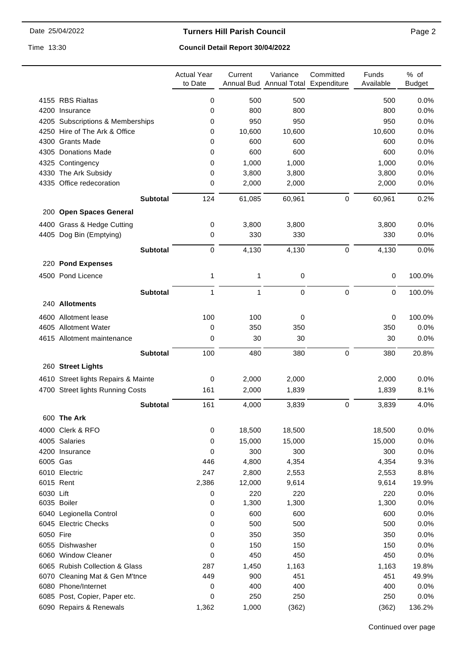### **Turners Hill Parish Council**

Time 13:30

# **Council Detail Report 30/04/2022**

| 4155 RBS Rialtas<br>0<br>500<br>500<br>500<br>0.0%<br>800<br>800<br>800<br>0.0%<br>4200 Insurance<br>0<br>4205 Subscriptions & Memberships<br>950<br>950<br>950<br>0.0%<br>0<br>4250 Hire of The Ark & Office<br>10,600<br>10,600<br>10,600<br>0.0%<br>0<br>4300 Grants Made<br>600<br>600<br>600<br>0.0%<br>0<br>600<br>600<br>600<br>0.0%<br>4305 Donations Made<br>0<br>1,000<br>1,000<br>1,000<br>0.0%<br>4325 Contingency<br>0<br>4330 The Ark Subsidy<br>3,800<br>3,800<br>0.0%<br>0<br>3,800<br>4335 Office redecoration<br>0<br>2,000<br>2,000<br>2,000<br>0.0%<br><b>Subtotal</b><br>124<br>61,085<br>60,961<br>0<br>60,961<br>0.2%<br>200 Open Spaces General<br>3,800<br>3,800<br>3,800<br>4400 Grass & Hedge Cutting<br>0<br>0.0%<br>330<br>330<br>330<br>0.0%<br>4405 Dog Bin (Emptying)<br>0<br>4,130<br>4,130<br>$\pmb{0}$<br>4,130<br>0.0%<br><b>Subtotal</b><br>0<br>220 Pond Expenses<br>100.0%<br>4500 Pond Licence<br>0<br>1<br>1<br>0<br>$\pmb{0}$<br>1<br>$\mathbf{1}$<br>0<br><b>Subtotal</b><br>0<br>100.0%<br>240 Allotments<br>100.0%<br>4600 Allotment lease<br>100<br>100<br>0<br>0<br>4605 Allotment Water<br>350<br>350<br>350<br>0.0%<br>0<br>30<br>0.0%<br>4615 Allotment maintenance<br>0<br>30<br>30<br>380<br>$\pmb{0}$<br><b>Subtotal</b><br>100<br>480<br>380<br>20.8%<br>260 Street Lights<br>2,000<br>2,000<br>0.0%<br>4610 Street lights Repairs & Mainte<br>0<br>2,000<br>4700 Street lights Running Costs<br>161<br>2,000<br>1,839<br>1,839<br>8.1%<br>161<br>0<br><b>Subtotal</b><br>4,000<br>3,839<br>3,839<br>4.0%<br>600 The Ark<br>18,500<br>18,500<br>0.0%<br>4000 Clerk & RFO<br>0<br>18,500<br>4005 Salaries<br>15,000<br>15,000<br>15,000<br>0.0%<br>0<br>0<br>300<br>300<br>300<br>0.0%<br>4200 Insurance<br>6005 Gas<br>4,800<br>4,354<br>4,354<br>9.3%<br>446<br>247<br>6010 Electric<br>2,800<br>8.8%<br>2,553<br>2,553<br>2,386<br>6015 Rent<br>12,000<br>9,614<br>9,614<br>19.9%<br>6030 Lift<br>220<br>220<br>220<br>0.0%<br>0<br>6035 Boiler<br>1,300<br>1,300<br>1,300<br>0.0%<br>0<br>6040 Legionella Control<br>600<br>600<br>600<br>0.0%<br>0<br>6045 Electric Checks<br>500<br>500<br>500<br>0.0%<br>0<br>350<br>350<br>6050 Fire<br>350<br>0.0%<br>0<br>6055 Dishwasher<br>150<br>150<br>150<br>0<br>0.0%<br>6060 Window Cleaner<br>450<br>450<br>450<br>0.0%<br>0<br>6065 Rubish Collection & Glass<br>287<br>1,450<br>1,163<br>1,163<br>19.8%<br>6070 Cleaning Mat & Gen M'tnce<br>449<br>900<br>451<br>451<br>49.9%<br>6080 Phone/Internet<br>400<br>400<br>400<br>0<br>0.0% |                               | <b>Actual Year</b><br>to Date | Current | Variance<br>Annual Bud Annual Total Expenditure | Committed | Funds<br>Available | % of<br><b>Budget</b> |
|--------------------------------------------------------------------------------------------------------------------------------------------------------------------------------------------------------------------------------------------------------------------------------------------------------------------------------------------------------------------------------------------------------------------------------------------------------------------------------------------------------------------------------------------------------------------------------------------------------------------------------------------------------------------------------------------------------------------------------------------------------------------------------------------------------------------------------------------------------------------------------------------------------------------------------------------------------------------------------------------------------------------------------------------------------------------------------------------------------------------------------------------------------------------------------------------------------------------------------------------------------------------------------------------------------------------------------------------------------------------------------------------------------------------------------------------------------------------------------------------------------------------------------------------------------------------------------------------------------------------------------------------------------------------------------------------------------------------------------------------------------------------------------------------------------------------------------------------------------------------------------------------------------------------------------------------------------------------------------------------------------------------------------------------------------------------------------------------------------------------------------------------------------------------------------------------------------------------------------------------------------------------------------------------------------------------------------------------------------------------------------------------------------------------------------------------------------------------------------------------------------------------------------------------------|-------------------------------|-------------------------------|---------|-------------------------------------------------|-----------|--------------------|-----------------------|
|                                                                                                                                                                                                                                                                                                                                                                                                                                                                                                                                                                                                                                                                                                                                                                                                                                                                                                                                                                                                                                                                                                                                                                                                                                                                                                                                                                                                                                                                                                                                                                                                                                                                                                                                                                                                                                                                                                                                                                                                                                                                                                                                                                                                                                                                                                                                                                                                                                                                                                                                                  |                               |                               |         |                                                 |           |                    |                       |
|                                                                                                                                                                                                                                                                                                                                                                                                                                                                                                                                                                                                                                                                                                                                                                                                                                                                                                                                                                                                                                                                                                                                                                                                                                                                                                                                                                                                                                                                                                                                                                                                                                                                                                                                                                                                                                                                                                                                                                                                                                                                                                                                                                                                                                                                                                                                                                                                                                                                                                                                                  |                               |                               |         |                                                 |           |                    |                       |
|                                                                                                                                                                                                                                                                                                                                                                                                                                                                                                                                                                                                                                                                                                                                                                                                                                                                                                                                                                                                                                                                                                                                                                                                                                                                                                                                                                                                                                                                                                                                                                                                                                                                                                                                                                                                                                                                                                                                                                                                                                                                                                                                                                                                                                                                                                                                                                                                                                                                                                                                                  |                               |                               |         |                                                 |           |                    |                       |
|                                                                                                                                                                                                                                                                                                                                                                                                                                                                                                                                                                                                                                                                                                                                                                                                                                                                                                                                                                                                                                                                                                                                                                                                                                                                                                                                                                                                                                                                                                                                                                                                                                                                                                                                                                                                                                                                                                                                                                                                                                                                                                                                                                                                                                                                                                                                                                                                                                                                                                                                                  |                               |                               |         |                                                 |           |                    |                       |
|                                                                                                                                                                                                                                                                                                                                                                                                                                                                                                                                                                                                                                                                                                                                                                                                                                                                                                                                                                                                                                                                                                                                                                                                                                                                                                                                                                                                                                                                                                                                                                                                                                                                                                                                                                                                                                                                                                                                                                                                                                                                                                                                                                                                                                                                                                                                                                                                                                                                                                                                                  |                               |                               |         |                                                 |           |                    |                       |
|                                                                                                                                                                                                                                                                                                                                                                                                                                                                                                                                                                                                                                                                                                                                                                                                                                                                                                                                                                                                                                                                                                                                                                                                                                                                                                                                                                                                                                                                                                                                                                                                                                                                                                                                                                                                                                                                                                                                                                                                                                                                                                                                                                                                                                                                                                                                                                                                                                                                                                                                                  |                               |                               |         |                                                 |           |                    |                       |
|                                                                                                                                                                                                                                                                                                                                                                                                                                                                                                                                                                                                                                                                                                                                                                                                                                                                                                                                                                                                                                                                                                                                                                                                                                                                                                                                                                                                                                                                                                                                                                                                                                                                                                                                                                                                                                                                                                                                                                                                                                                                                                                                                                                                                                                                                                                                                                                                                                                                                                                                                  |                               |                               |         |                                                 |           |                    |                       |
|                                                                                                                                                                                                                                                                                                                                                                                                                                                                                                                                                                                                                                                                                                                                                                                                                                                                                                                                                                                                                                                                                                                                                                                                                                                                                                                                                                                                                                                                                                                                                                                                                                                                                                                                                                                                                                                                                                                                                                                                                                                                                                                                                                                                                                                                                                                                                                                                                                                                                                                                                  |                               |                               |         |                                                 |           |                    |                       |
|                                                                                                                                                                                                                                                                                                                                                                                                                                                                                                                                                                                                                                                                                                                                                                                                                                                                                                                                                                                                                                                                                                                                                                                                                                                                                                                                                                                                                                                                                                                                                                                                                                                                                                                                                                                                                                                                                                                                                                                                                                                                                                                                                                                                                                                                                                                                                                                                                                                                                                                                                  |                               |                               |         |                                                 |           |                    |                       |
|                                                                                                                                                                                                                                                                                                                                                                                                                                                                                                                                                                                                                                                                                                                                                                                                                                                                                                                                                                                                                                                                                                                                                                                                                                                                                                                                                                                                                                                                                                                                                                                                                                                                                                                                                                                                                                                                                                                                                                                                                                                                                                                                                                                                                                                                                                                                                                                                                                                                                                                                                  |                               |                               |         |                                                 |           |                    |                       |
|                                                                                                                                                                                                                                                                                                                                                                                                                                                                                                                                                                                                                                                                                                                                                                                                                                                                                                                                                                                                                                                                                                                                                                                                                                                                                                                                                                                                                                                                                                                                                                                                                                                                                                                                                                                                                                                                                                                                                                                                                                                                                                                                                                                                                                                                                                                                                                                                                                                                                                                                                  |                               |                               |         |                                                 |           |                    |                       |
|                                                                                                                                                                                                                                                                                                                                                                                                                                                                                                                                                                                                                                                                                                                                                                                                                                                                                                                                                                                                                                                                                                                                                                                                                                                                                                                                                                                                                                                                                                                                                                                                                                                                                                                                                                                                                                                                                                                                                                                                                                                                                                                                                                                                                                                                                                                                                                                                                                                                                                                                                  |                               |                               |         |                                                 |           |                    |                       |
|                                                                                                                                                                                                                                                                                                                                                                                                                                                                                                                                                                                                                                                                                                                                                                                                                                                                                                                                                                                                                                                                                                                                                                                                                                                                                                                                                                                                                                                                                                                                                                                                                                                                                                                                                                                                                                                                                                                                                                                                                                                                                                                                                                                                                                                                                                                                                                                                                                                                                                                                                  |                               |                               |         |                                                 |           |                    |                       |
|                                                                                                                                                                                                                                                                                                                                                                                                                                                                                                                                                                                                                                                                                                                                                                                                                                                                                                                                                                                                                                                                                                                                                                                                                                                                                                                                                                                                                                                                                                                                                                                                                                                                                                                                                                                                                                                                                                                                                                                                                                                                                                                                                                                                                                                                                                                                                                                                                                                                                                                                                  |                               |                               |         |                                                 |           |                    |                       |
|                                                                                                                                                                                                                                                                                                                                                                                                                                                                                                                                                                                                                                                                                                                                                                                                                                                                                                                                                                                                                                                                                                                                                                                                                                                                                                                                                                                                                                                                                                                                                                                                                                                                                                                                                                                                                                                                                                                                                                                                                                                                                                                                                                                                                                                                                                                                                                                                                                                                                                                                                  |                               |                               |         |                                                 |           |                    |                       |
|                                                                                                                                                                                                                                                                                                                                                                                                                                                                                                                                                                                                                                                                                                                                                                                                                                                                                                                                                                                                                                                                                                                                                                                                                                                                                                                                                                                                                                                                                                                                                                                                                                                                                                                                                                                                                                                                                                                                                                                                                                                                                                                                                                                                                                                                                                                                                                                                                                                                                                                                                  |                               |                               |         |                                                 |           |                    |                       |
|                                                                                                                                                                                                                                                                                                                                                                                                                                                                                                                                                                                                                                                                                                                                                                                                                                                                                                                                                                                                                                                                                                                                                                                                                                                                                                                                                                                                                                                                                                                                                                                                                                                                                                                                                                                                                                                                                                                                                                                                                                                                                                                                                                                                                                                                                                                                                                                                                                                                                                                                                  |                               |                               |         |                                                 |           |                    |                       |
|                                                                                                                                                                                                                                                                                                                                                                                                                                                                                                                                                                                                                                                                                                                                                                                                                                                                                                                                                                                                                                                                                                                                                                                                                                                                                                                                                                                                                                                                                                                                                                                                                                                                                                                                                                                                                                                                                                                                                                                                                                                                                                                                                                                                                                                                                                                                                                                                                                                                                                                                                  |                               |                               |         |                                                 |           |                    |                       |
|                                                                                                                                                                                                                                                                                                                                                                                                                                                                                                                                                                                                                                                                                                                                                                                                                                                                                                                                                                                                                                                                                                                                                                                                                                                                                                                                                                                                                                                                                                                                                                                                                                                                                                                                                                                                                                                                                                                                                                                                                                                                                                                                                                                                                                                                                                                                                                                                                                                                                                                                                  |                               |                               |         |                                                 |           |                    |                       |
|                                                                                                                                                                                                                                                                                                                                                                                                                                                                                                                                                                                                                                                                                                                                                                                                                                                                                                                                                                                                                                                                                                                                                                                                                                                                                                                                                                                                                                                                                                                                                                                                                                                                                                                                                                                                                                                                                                                                                                                                                                                                                                                                                                                                                                                                                                                                                                                                                                                                                                                                                  |                               |                               |         |                                                 |           |                    |                       |
|                                                                                                                                                                                                                                                                                                                                                                                                                                                                                                                                                                                                                                                                                                                                                                                                                                                                                                                                                                                                                                                                                                                                                                                                                                                                                                                                                                                                                                                                                                                                                                                                                                                                                                                                                                                                                                                                                                                                                                                                                                                                                                                                                                                                                                                                                                                                                                                                                                                                                                                                                  |                               |                               |         |                                                 |           |                    |                       |
|                                                                                                                                                                                                                                                                                                                                                                                                                                                                                                                                                                                                                                                                                                                                                                                                                                                                                                                                                                                                                                                                                                                                                                                                                                                                                                                                                                                                                                                                                                                                                                                                                                                                                                                                                                                                                                                                                                                                                                                                                                                                                                                                                                                                                                                                                                                                                                                                                                                                                                                                                  |                               |                               |         |                                                 |           |                    |                       |
|                                                                                                                                                                                                                                                                                                                                                                                                                                                                                                                                                                                                                                                                                                                                                                                                                                                                                                                                                                                                                                                                                                                                                                                                                                                                                                                                                                                                                                                                                                                                                                                                                                                                                                                                                                                                                                                                                                                                                                                                                                                                                                                                                                                                                                                                                                                                                                                                                                                                                                                                                  |                               |                               |         |                                                 |           |                    |                       |
|                                                                                                                                                                                                                                                                                                                                                                                                                                                                                                                                                                                                                                                                                                                                                                                                                                                                                                                                                                                                                                                                                                                                                                                                                                                                                                                                                                                                                                                                                                                                                                                                                                                                                                                                                                                                                                                                                                                                                                                                                                                                                                                                                                                                                                                                                                                                                                                                                                                                                                                                                  |                               |                               |         |                                                 |           |                    |                       |
|                                                                                                                                                                                                                                                                                                                                                                                                                                                                                                                                                                                                                                                                                                                                                                                                                                                                                                                                                                                                                                                                                                                                                                                                                                                                                                                                                                                                                                                                                                                                                                                                                                                                                                                                                                                                                                                                                                                                                                                                                                                                                                                                                                                                                                                                                                                                                                                                                                                                                                                                                  |                               |                               |         |                                                 |           |                    |                       |
|                                                                                                                                                                                                                                                                                                                                                                                                                                                                                                                                                                                                                                                                                                                                                                                                                                                                                                                                                                                                                                                                                                                                                                                                                                                                                                                                                                                                                                                                                                                                                                                                                                                                                                                                                                                                                                                                                                                                                                                                                                                                                                                                                                                                                                                                                                                                                                                                                                                                                                                                                  |                               |                               |         |                                                 |           |                    |                       |
|                                                                                                                                                                                                                                                                                                                                                                                                                                                                                                                                                                                                                                                                                                                                                                                                                                                                                                                                                                                                                                                                                                                                                                                                                                                                                                                                                                                                                                                                                                                                                                                                                                                                                                                                                                                                                                                                                                                                                                                                                                                                                                                                                                                                                                                                                                                                                                                                                                                                                                                                                  |                               |                               |         |                                                 |           |                    |                       |
|                                                                                                                                                                                                                                                                                                                                                                                                                                                                                                                                                                                                                                                                                                                                                                                                                                                                                                                                                                                                                                                                                                                                                                                                                                                                                                                                                                                                                                                                                                                                                                                                                                                                                                                                                                                                                                                                                                                                                                                                                                                                                                                                                                                                                                                                                                                                                                                                                                                                                                                                                  |                               |                               |         |                                                 |           |                    |                       |
|                                                                                                                                                                                                                                                                                                                                                                                                                                                                                                                                                                                                                                                                                                                                                                                                                                                                                                                                                                                                                                                                                                                                                                                                                                                                                                                                                                                                                                                                                                                                                                                                                                                                                                                                                                                                                                                                                                                                                                                                                                                                                                                                                                                                                                                                                                                                                                                                                                                                                                                                                  |                               |                               |         |                                                 |           |                    |                       |
|                                                                                                                                                                                                                                                                                                                                                                                                                                                                                                                                                                                                                                                                                                                                                                                                                                                                                                                                                                                                                                                                                                                                                                                                                                                                                                                                                                                                                                                                                                                                                                                                                                                                                                                                                                                                                                                                                                                                                                                                                                                                                                                                                                                                                                                                                                                                                                                                                                                                                                                                                  |                               |                               |         |                                                 |           |                    |                       |
|                                                                                                                                                                                                                                                                                                                                                                                                                                                                                                                                                                                                                                                                                                                                                                                                                                                                                                                                                                                                                                                                                                                                                                                                                                                                                                                                                                                                                                                                                                                                                                                                                                                                                                                                                                                                                                                                                                                                                                                                                                                                                                                                                                                                                                                                                                                                                                                                                                                                                                                                                  |                               |                               |         |                                                 |           |                    |                       |
|                                                                                                                                                                                                                                                                                                                                                                                                                                                                                                                                                                                                                                                                                                                                                                                                                                                                                                                                                                                                                                                                                                                                                                                                                                                                                                                                                                                                                                                                                                                                                                                                                                                                                                                                                                                                                                                                                                                                                                                                                                                                                                                                                                                                                                                                                                                                                                                                                                                                                                                                                  |                               |                               |         |                                                 |           |                    |                       |
|                                                                                                                                                                                                                                                                                                                                                                                                                                                                                                                                                                                                                                                                                                                                                                                                                                                                                                                                                                                                                                                                                                                                                                                                                                                                                                                                                                                                                                                                                                                                                                                                                                                                                                                                                                                                                                                                                                                                                                                                                                                                                                                                                                                                                                                                                                                                                                                                                                                                                                                                                  |                               |                               |         |                                                 |           |                    |                       |
|                                                                                                                                                                                                                                                                                                                                                                                                                                                                                                                                                                                                                                                                                                                                                                                                                                                                                                                                                                                                                                                                                                                                                                                                                                                                                                                                                                                                                                                                                                                                                                                                                                                                                                                                                                                                                                                                                                                                                                                                                                                                                                                                                                                                                                                                                                                                                                                                                                                                                                                                                  |                               |                               |         |                                                 |           |                    |                       |
|                                                                                                                                                                                                                                                                                                                                                                                                                                                                                                                                                                                                                                                                                                                                                                                                                                                                                                                                                                                                                                                                                                                                                                                                                                                                                                                                                                                                                                                                                                                                                                                                                                                                                                                                                                                                                                                                                                                                                                                                                                                                                                                                                                                                                                                                                                                                                                                                                                                                                                                                                  |                               |                               |         |                                                 |           |                    |                       |
|                                                                                                                                                                                                                                                                                                                                                                                                                                                                                                                                                                                                                                                                                                                                                                                                                                                                                                                                                                                                                                                                                                                                                                                                                                                                                                                                                                                                                                                                                                                                                                                                                                                                                                                                                                                                                                                                                                                                                                                                                                                                                                                                                                                                                                                                                                                                                                                                                                                                                                                                                  |                               |                               |         |                                                 |           |                    |                       |
|                                                                                                                                                                                                                                                                                                                                                                                                                                                                                                                                                                                                                                                                                                                                                                                                                                                                                                                                                                                                                                                                                                                                                                                                                                                                                                                                                                                                                                                                                                                                                                                                                                                                                                                                                                                                                                                                                                                                                                                                                                                                                                                                                                                                                                                                                                                                                                                                                                                                                                                                                  |                               |                               |         |                                                 |           |                    |                       |
|                                                                                                                                                                                                                                                                                                                                                                                                                                                                                                                                                                                                                                                                                                                                                                                                                                                                                                                                                                                                                                                                                                                                                                                                                                                                                                                                                                                                                                                                                                                                                                                                                                                                                                                                                                                                                                                                                                                                                                                                                                                                                                                                                                                                                                                                                                                                                                                                                                                                                                                                                  |                               |                               |         |                                                 |           |                    |                       |
|                                                                                                                                                                                                                                                                                                                                                                                                                                                                                                                                                                                                                                                                                                                                                                                                                                                                                                                                                                                                                                                                                                                                                                                                                                                                                                                                                                                                                                                                                                                                                                                                                                                                                                                                                                                                                                                                                                                                                                                                                                                                                                                                                                                                                                                                                                                                                                                                                                                                                                                                                  |                               |                               |         |                                                 |           |                    |                       |
|                                                                                                                                                                                                                                                                                                                                                                                                                                                                                                                                                                                                                                                                                                                                                                                                                                                                                                                                                                                                                                                                                                                                                                                                                                                                                                                                                                                                                                                                                                                                                                                                                                                                                                                                                                                                                                                                                                                                                                                                                                                                                                                                                                                                                                                                                                                                                                                                                                                                                                                                                  |                               |                               |         |                                                 |           |                    |                       |
|                                                                                                                                                                                                                                                                                                                                                                                                                                                                                                                                                                                                                                                                                                                                                                                                                                                                                                                                                                                                                                                                                                                                                                                                                                                                                                                                                                                                                                                                                                                                                                                                                                                                                                                                                                                                                                                                                                                                                                                                                                                                                                                                                                                                                                                                                                                                                                                                                                                                                                                                                  |                               |                               |         |                                                 |           |                    |                       |
|                                                                                                                                                                                                                                                                                                                                                                                                                                                                                                                                                                                                                                                                                                                                                                                                                                                                                                                                                                                                                                                                                                                                                                                                                                                                                                                                                                                                                                                                                                                                                                                                                                                                                                                                                                                                                                                                                                                                                                                                                                                                                                                                                                                                                                                                                                                                                                                                                                                                                                                                                  |                               |                               |         |                                                 |           |                    |                       |
|                                                                                                                                                                                                                                                                                                                                                                                                                                                                                                                                                                                                                                                                                                                                                                                                                                                                                                                                                                                                                                                                                                                                                                                                                                                                                                                                                                                                                                                                                                                                                                                                                                                                                                                                                                                                                                                                                                                                                                                                                                                                                                                                                                                                                                                                                                                                                                                                                                                                                                                                                  | 6085 Post, Copier, Paper etc. | 0                             | 250     | 250                                             |           | 250                | 0.0%                  |
| 6090 Repairs & Renewals<br>1,362<br>1,000<br>(362)<br>136.2%<br>(362)                                                                                                                                                                                                                                                                                                                                                                                                                                                                                                                                                                                                                                                                                                                                                                                                                                                                                                                                                                                                                                                                                                                                                                                                                                                                                                                                                                                                                                                                                                                                                                                                                                                                                                                                                                                                                                                                                                                                                                                                                                                                                                                                                                                                                                                                                                                                                                                                                                                                            |                               |                               |         |                                                 |           |                    |                       |